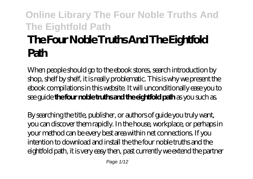# **The Four Noble Truths And The Eightfold Path**

When people should go to the ebook stores, search introduction by shop, shelf by shelf, it is really problematic. This is why we present the ebook compilations in this website. It will unconditionally ease you to see guide **the four noble truths and the eightfold path** as you such as.

By searching the title, publisher, or authors of guide you truly want, you can discover them rapidly. In the house, workplace, or perhaps in your method can be every best area within net connections. If you intention to download and install the the four noble truths and the eightfold path, it is very easy then, past currently we extend the partner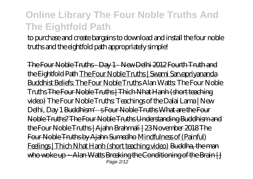to purchase and create bargains to download and install the four noble truths and the eightfold path appropriately simple!

The Four Noble Truths - Day 1 - New Delhi 2012 Fourth Truth and the Eightfold Path The Four Noble Truths | Swami Sarvapriyananda Buddhist Beliefs: The Four Noble Truths *Alan Watts: The Four Noble Truths* The Four Noble Truths | Thich Nhat Hanh (short teaching video) *The Four Noble Truths: Teachings of the Dalai Lama | New Delhi, Day 1* Buddhism' s Four Noble Truths What are the Four Noble Truths? The Four Noble Truths Understanding Buddhism and the Four Noble Truths | Ajahn Brahmali | 23 November 2018 The Four Noble Truths by Ajahn Sumedho Mindfulness of (Painful) Feelings | Thich Nhat Hanh (short teaching video) Buddha, the man who woke up  $-$  Alan Watts Breaking the Conditioning of the Brain  $|J|$ Page 2/12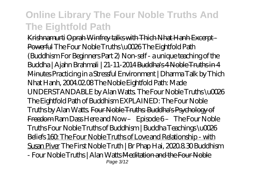Krishnamurti Oprah Winfrey talks with Thich Nhat Hanh Excerpt - Powerful *The Four Noble Truths \u0026 The Eightfold Path (Buddhism For Beginners Part 2) Non-self - a unique teaching of the Buddha | Ajahn Brahmali | 21-11-2014* Buddha's 4 Noble Truths in 4 Minutes *Practicing in a Stressful Environment | Dharma Talk by Thich Nhat Hanh, 2004.02.08 The Noble Eightfold Path: Made UNDERSTANDABLE by Alan Watts. The Four Noble Truths \u0026 The Eightfold Path of Buddhism EXPLAINED: The Four Noble Truths by Alan Watts.* Four Noble Truths: Buddha's Psychology of Freedom *Ram Dass Here and Now – Episode 6 – The Four Noble Truths Four Noble Truths of Buddhism | Buddha Teachings \u0026 Beliefs* 160: The Four Noble Truths of Love and Relationship - with Susan Piver *The First Noble Truth | Br Phap Hai, 2020.8.30 Buddhism - Four Noble Truths | Alan Watts* Meditation and the Four Noble Page 3/12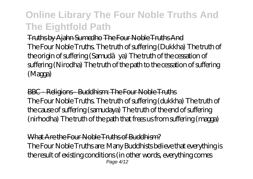Truths by Ajahn Sumedho The Four Noble Truths And The Four Noble Truths. The truth of suffering (Dukkha) The truth of the origin of suffering (Samud va) The truth of the cessation of suffering (Nirodha) The truth of the path to the cessation of suffering (Magga)

BBC - Religions - Buddhism: The Four Noble Truths The Four Noble Truths. The truth of suffering (dukkha) The truth of the cause of suffering (samudaya) The truth of the end of suffering (nirhodha) The truth of the path that frees us from suffering (magga)

#### What Are the Four Noble Truths of Buddhism?

The Four Noble Truths are: Many Buddhists believe that everything is the result of existing conditions (in other words, everything comes Page 4/12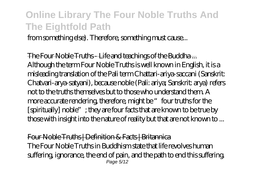from something else). Therefore, something must cause...

The Four Noble Truths - Life and teachings of the Buddha ... Although the term Four Noble Truths is well known in English, it is a misleading translation of the Pali term Chattari-ariya-saccani (Sanskrit: Chatvari-arya-satyani), because noble (Pali: ariya; Sanskrit: arya) refers not to the truths themselves but to those who understand them. A more accurate rendering, therefore, might be " four truths for the [spiritually] noble"; they are four facts that are known to be true by those with insight into the nature of reality but that are not known to ...

Four Noble Truths | Definition & Facts | Britannica The Four Noble Truths in Buddhism state that life revolves human suffering, ignorance, the end of pain, and the path to end this suffering. Page 5/12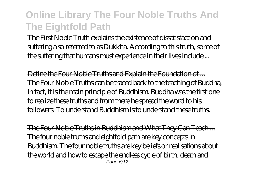The First Noble Truth explains the existence of dissatisfaction and suffering also referred to as Dukkha. According to this truth, some of the suffering that humans must experience in their lives include ...

Define the Four Noble Truths and Explain the Foundation of ... The Four Noble Truths can be traced back to the teaching of Buddha, in fact, it is the main principle of Buddhism. Buddha was the first one to realize these truths and from there he spread the word to his followers. To understand Buddhism is to understand these truths.

The Four Noble Truths in Buddhism and What They Can Teach ... The four noble truths and eightfold path are key concepts in Buddhism. The four noble truths are key beliefs or realisations about the world and how to escape the endless cycle of birth, death and Page 6/12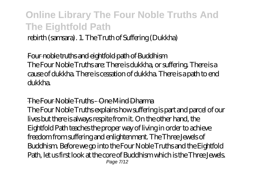rebirth (samsara). 1. The Truth of Suffering (Dukkha)

Four noble truths and eightfold path of Buddhism The Four Noble Truths are: There is dukkha, or suffering. There is a cause of dukkha. There is cessation of dukkha. There is a path to end dukkha.

#### The Four Noble Truths - One Mind Dharma

The Four Noble Truths explains how suffering is part and parcel of our lives but there is always respite from it. On the other hand, the Eightfold Path teaches the proper way of living in order to achieve freedom from suffering and enlightenment. The Three Jewels of Buddhism. Before we go into the Four Noble Truths and the Eightfold Path, let us first look at the core of Buddhism which is the Three Jewels. Page 7/12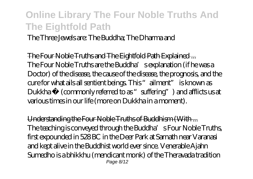The Three Jewels are: The Buddha; The Dharma and

The Four Noble Truths and The Eightfold Path Explained ... The Four Noble Truths are the Buddha's explanation (if he was a Doctor) of the disease, the cause of the disease, the prognosis, and the cure for what ails all sentient beings. This "ailment" is known as Dukkha $<sup>1</sup>$  (commonly referred to as "suffering") and afflicts us at</sup> various times in our life (more on Dukkha in a moment).

Understanding the Four Noble Truths of Buddhism (With ... The teaching is conveyed through the Buddha's Four Noble Truths, first expounded in 528 BC in the Deer Park at Sarnath near Varanasi and kept alive in the Buddhist world ever since. Venerable Ajahn Sumedho is a bhikkhu (mendicant monk) of the Theravada tradition Page 8/12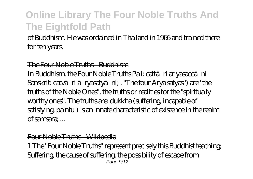of Buddhism. He was ordained in Thailand in 1966 and trained there for ten years.

#### The Four Noble Truths - Buddhism

In Buddhism, the Four Noble Truths Pali: catt ri ariyasaccani Sanskrit: caty ri ryasaty ni; , "The four Arya satyas") are "the truths of the Noble Ones", the truths or realities for the "spiritually worthy ones". The truths are: dukkha (suffering, incapable of satisfying, painful) is an innate characteristic of existence in the realm of samsara; ...

#### Four Noble Truths - Wikipedia

1 The "Four Noble Truths" represent precisely this Buddhist teaching; Suffering, the cause of suffering, the possibility of escape from Page  $9/12$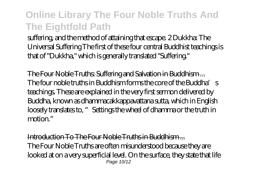suffering, and the method of attaining that escape. 2 Dukkha: The Universal Suffering The first of these four central Buddhist teachings is that of "Dukkha," which is generally translated "Suffering."

The Four Noble Truths: Suffering and Salvation in Buddhism ... The four noble truths in Buddhism forms the core of the Buddha's teachings. These are explained in the very first sermon delivered by Buddha, known as dhammacakkappavattana sutta, which in English loosely translates to, "Settings the wheel of dhamma or the truth in motion."

Introduction To The Four Noble Truths in Buddhism ... The Four Noble Truths are often misunderstood because they are looked at on a very superficial level. On the surface, they state that life Page 10/12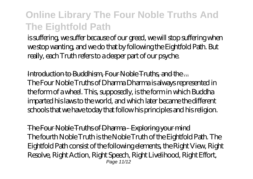is suffering, we suffer because of our greed, we will stop suffering when we stop wanting, and we do that by following the Eightfold Path. But really, each Truth refers to a deeper part of our psyche.

Introduction to Buddhism, Four Noble Truths, and the... The Four Noble Truths of Dharma Dharma is always represented in the form of a wheel. This, supposedly, is the form in which Buddha imparted his laws to the world, and which later became the different schools that we have today that follow his principles and his religion.

The Four Noble Truths of Dharma - Exploring your mind The fourth Noble Truth is the Noble Truth of the Eightfold Path. The Eightfold Path consist of the following elements, the Right View, Right Resolve, Right Action, Right Speech, Right Livelihood, Right Effort, Page 11/12